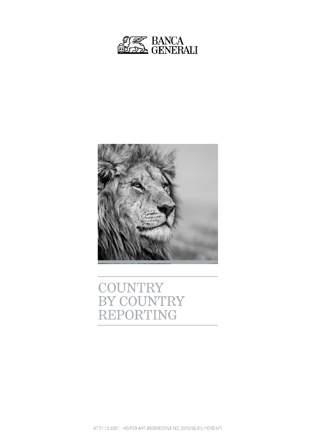



COUNTRY BY COUNTRY REPORTING

AT 31.12.2021 - AS PER ART. 89 DIRECTIVE NO. 2013/36/EU ("CRD IV")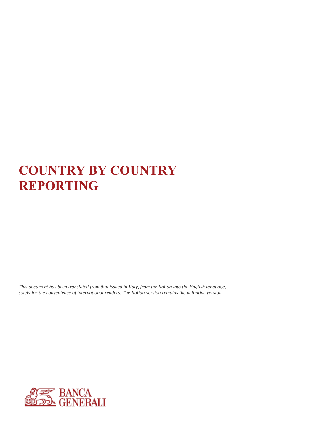# **COUNTRY BY COUNTRY REPORTING**

*This document has been translated from that issued in Italy, from the Italian into the English language, solely for the convenience of international readers. The Italian version remains the definitive version.* 

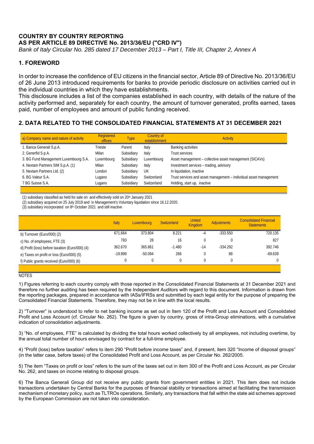# **COUNTRY BY COUNTRY REPORTING AS PER ARTICLE 89 DIRECTIVE No. 2013/36/EU ("CRD IV")**

*Bank of Italy Circular No. 285 dated 17 December 2013 – Part I, Title III, Chapter 2, Annex A* 

### **1. FOREWORD**

In order to increase the confidence of EU citizens in the financial sector, Article 89 of Directive No. 2013/36/EU of 26 June 2013 introduced requirements for banks to provide periodic disclosure on activities carried out in the individual countries in which they have establishments.

This disclosure includes a list of the companies established in each country, with details of the nature of the activity performed and, separately for each country, the amount of turnover generated, profits earned, taxes paid, number of employees and amount of public funding received.

## **2. DATA RELATED TO THE CONSOLIDATED FINANCIAL STATEMENTS AT 31 DECEMBER 2021**

| a) Company name and nature of activity | <b>Registered</b><br><b>offices</b> | <b>Type</b> | Country of<br>establishment | <b>Activity</b>                                                   |
|----------------------------------------|-------------------------------------|-------------|-----------------------------|-------------------------------------------------------------------|
| 1. Banca Generali S.p.A.               | Trieste                             | Parent      | Italy                       | <b>Banking activities</b>                                         |
| 2. Generfid S.p.A.                     | Milan                               | Subsidiary  | Italy                       | <b>Trust services</b>                                             |
| 3. BG Fund Management Luxembourg S.A.  | Luxembourg                          | Subsidiary  | Luxembourg                  | Asset management – collective asset management (SICAVs)           |
| 4. Nextam Partners SIM S.p.A. (1)      | Milan                               | Subsidiary  | Italy                       | Investment services - trading, advisory                           |
| 5. Nextam Partners Ltd. (2)            | London                              | Subsidiary  | UK                          | In liquidation, inactive                                          |
| 6. BG Valeur S.A.                      | Lugano                              | Subsidiary  | Switzerland                 | Trust services and asset management – individual asset management |
| 7 BG Suisse S.A.                       | Lugano                              | Subsidiary  | Switzerland                 | Holding, start up, inactive                                       |

(1) subsidiary classified as held for sale on and effectively sold on 20<sup>th</sup> January 2021

(2) subsidiary acquired on 25 July 2019 and in Management's Voluntary liquidation since 16.12.2020.

 $(3)$  subsidiary incorporated on  $8<sup>th</sup>$  October 2021 and still inactive

|                                                 | Italy     | <b>Luxembourg</b> | <b>Switzerland</b> | <b>United</b><br><b>Kingdom</b> | <b>Adjustments</b> | <b>Consolidated Financial</b><br><b>Statements</b> |
|-------------------------------------------------|-----------|-------------------|--------------------|---------------------------------|--------------------|----------------------------------------------------|
| b) Turnover (Euro/000) (2)                      | 671.664   | 373.804           | 8.221              | -4                              | $-333.550$         | 720.135                                            |
| c) No. of employees, FTE (3)                    | 783       | 28                | 16                 |                                 |                    | 827                                                |
| d) Profit (loss) before taxation (Euro/000) (4) | 362.670   | 365.861           | $-1.480$           | $-14$                           | $-334.292$         | 392.746                                            |
| e) Taxes on profit or loss (Euro/000) (5)       | $-19.899$ | $-50.094$         | 266                |                                 | 88                 | $-69.639$                                          |
| f) Public grants received (Euro/000) (6)        | 0         |                   | 0                  |                                 |                    |                                                    |
|                                                 |           |                   |                    |                                 |                    |                                                    |

#### **NOTES**

1) Figures referring to each country comply with those reported in the Consolidated Financial Statements at 31 December 2021 and therefore no further auditing has been required by the Independent Auditors with regard to this document. Information is drawn from the reporting packages, prepared in accordance with IASs/IFRSs and submitted by each legal entity for the purpose of preparing the Consolidated Financial Statements. Therefore, they may not be in line with the local results.

2) "Turnover" is understood to refer to net banking income as set out in Item 120 of the Profit and Loss Account and Consolidated Profit and Loss Account (cf. Circular No. 262). The figure is given by country, gross of intra-Group eliminations, with a cumulative indication of consolidation adjustments.

3) "No. of employees, FTE" is calculated by dividing the total hours worked collectively by all employees, not including overtime, by the annual total number of hours envisaged by contract for a full-time employee.

4) "Profit (loss) before taxation" refers to item 290 "Profit before income taxes" and, if present, item 320 "Income of disposal groups" (in the latter case, before taxes) of the Consolidated Profit and Loss Account, as per Circular No. 262/2005.

5) The item "Taxes on profit or loss" refers to the sum of the taxes set out in item 300 of the Profit and Loss Account, as per Circular No. 262, and taxes on income relating to disposal groups.

6) The Banca Generali Group did not receive any public grants from government entities in 2021. This item does not include transactions undertaken by Central Banks for the purposes of financial stability or transactions aimed at facilitating the transmission mechanism of monetary policy, such as TLTROs operations. Similarly, any transactions that fall within the state aid schemes approved by the European Commission are not taken into consideration.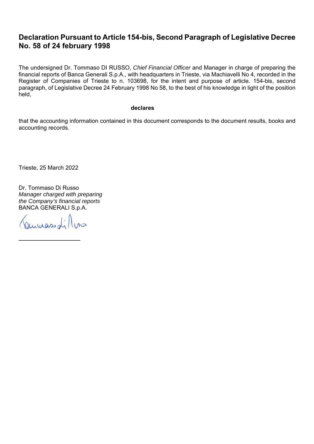# **Declaration Pursuant to Article 154-bis, Second Paragraph of Legislative Decree No. 58 of 24 february 1998**

The undersigned Dr. Tommaso DI RUSSO, *Chief Financial Officer* and Manager in charge of preparing the financial reports of Banca Generali S.p.A., with headquarters in Trieste, via Machiavelli No 4, recorded in the Register of Companies of Trieste to n. 103698, for the intent and purpose of article. 154-bis, second paragraph, of Legislative Decree 24 February 1998 No 58, to the best of his knowledge in light of the position held,

#### **declares**

that the accounting information contained in this document corresponds to the document results, books and accounting records.

Trieste, 25 March 2022

Dr. Tommaso Di Russo *Manager charged with preparing the Company's financial reports* BANCA GENERALI S.p.A.

Januaro dillas

 $\mathcal{L}_\text{max}$  , where  $\mathcal{L}_\text{max}$